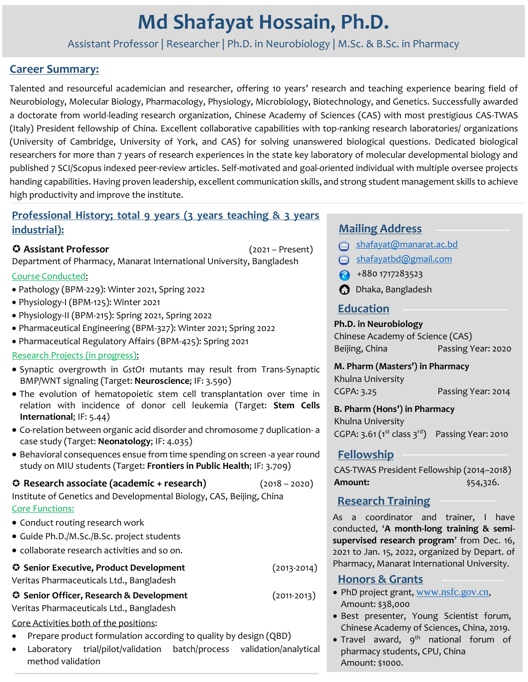# **Md Shafayat Hossain, Ph.D.**

Assistant Professor | Researcher | Ph.D. in Neurobiology | M.Sc. & B.Sc. in Pharmacy

# **Career Summary:**

Talented and resourceful academician and researcher, offering 10 years' research and teaching experience bearing field of Neurobiology, Molecular Biology, Pharmacology, Physiology, Microbiology, Biotechnology, and Genetics. Successfully awarded a doctorate from world-leading research organization, Chinese Academy of Sciences (CAS) with most prestigious CAS-TWAS (Italy) President fellowship of China. Excellent collaborative capabilities with top-ranking research laboratories/ organizations (University of Cambridge, University of York, and CAS) for solving unanswered biological questions. Dedicated biological researchers for more than 7 years of research experiences in the state key laboratory of molecular developmental biology and published 7 SCI/Scopus indexed peer-review articles. Self-motivated and goal-oriented individual with multiple oversee projects handing capabilities. Having proven leadership, excellent communication skills, and strong student management skills to achieve high productivity and improve the institute.

## **Professional History; total 9 years (3 years teaching & 3 years industrial):**

## **Assistant Professor** (2021 – Present)

Department of Pharmacy, Manarat International University, Bangladesh

## Course Conducted:

- Pathology (BPM-229): Winter 2021, Spring 2022
- Physiology-I (BPM-125): Winter 2021
- Physiology-II (BPM-215): Spring 2021, Spring 2022
- Pharmaceutical Engineering (BPM-327): Winter 2021; Spring 2022
- Pharmaceutical Regulatory Affairs (BPM-425): Spring 2021

## Research Projects (in progress):

- Synaptic overgrowth in *GstO1* mutants may result from Trans-Synaptic BMP/WNT signaling (Target: **Neuroscience**; IF: 3.590)
- The evolution of hematopoietic stem cell transplantation over time in relation with incidence of donor cell leukemia (Target: **Stem Cells International**; IF: 5.44)
- Co-relation between organic acid disorder and chromosome 7 duplication- a case study (Target: **Neonatology**; IF: 4.035)
- Behavioral consequences ensue from time spending on screen -a year round study on MIU students (Target: **Frontiers in Public Health**; IF: 3.709)

## **Research associate (academic + research)** (2018 – 2020)

Institute of Genetics and Developmental Biology, CAS, Beijing, China Core Functions:

- Conduct routing research work
- Guide Ph.D./M.Sc./B.Sc. project students
- collaborate research activities and so on.

 **Senior Executive, Product Development** (2013-2014) Veritas Pharmaceuticals Ltd., Bangladesh

#### **Senior Officer, Research & Development** (2011-2013) Veritas Pharmaceuticals Ltd., Bangladesh

Core Activities both of the positions:

- Prepare product formulation according to quality by design (QBD)
- Laboratory trial/pilot/validation batch/process validation/analytical method validation

# **Mailing Address**

- shafayat@manarat.ac.bd
- shafayatbd@gmail.com
- $\bigcirc$  +880 1717283523
- **O** Dhaka, Bangladesh

# **Education**

## **Ph.D. in Neurobiology**

Chinese Academy of Science (CAS) Beijing, China Passing Year: 2020

## **M. Pharm (Masters') in Pharmacy**

Khulna University CGPA: 3.25 Passing Year: 2014

**B. Pharm (Hons') in Pharmacy** 

Khulna University CGPA: 3.61 ( $1^{st}$  class  $3^{rd}$ ) Passing Year: 2010

# **Fellowship**

CAS-TWAS President Fellowship (2014–2018) **Amount:**  $\frac{1}{54,326}$ .

# **Research Training**

As a coordinator and trainer, I have conducted, '**A month-long training & semisupervised research program**' from Dec. 16, 2021 to Jan. 15, 2022, organized by Depart. of Pharmacy, Manarat International University.

# **Honors & Grants**

- PhD project grant, [www.nsfc.gov.cn,](http://www.nsfc.gov.cn/) Amount: \$38,000
- Best presenter, Young Scientist forum, Chinese Academy of Sciences, China, 2019.
- Travel award,  $9<sup>th</sup>$  national forum of pharmacy students, CPU, China Amount: \$1000.